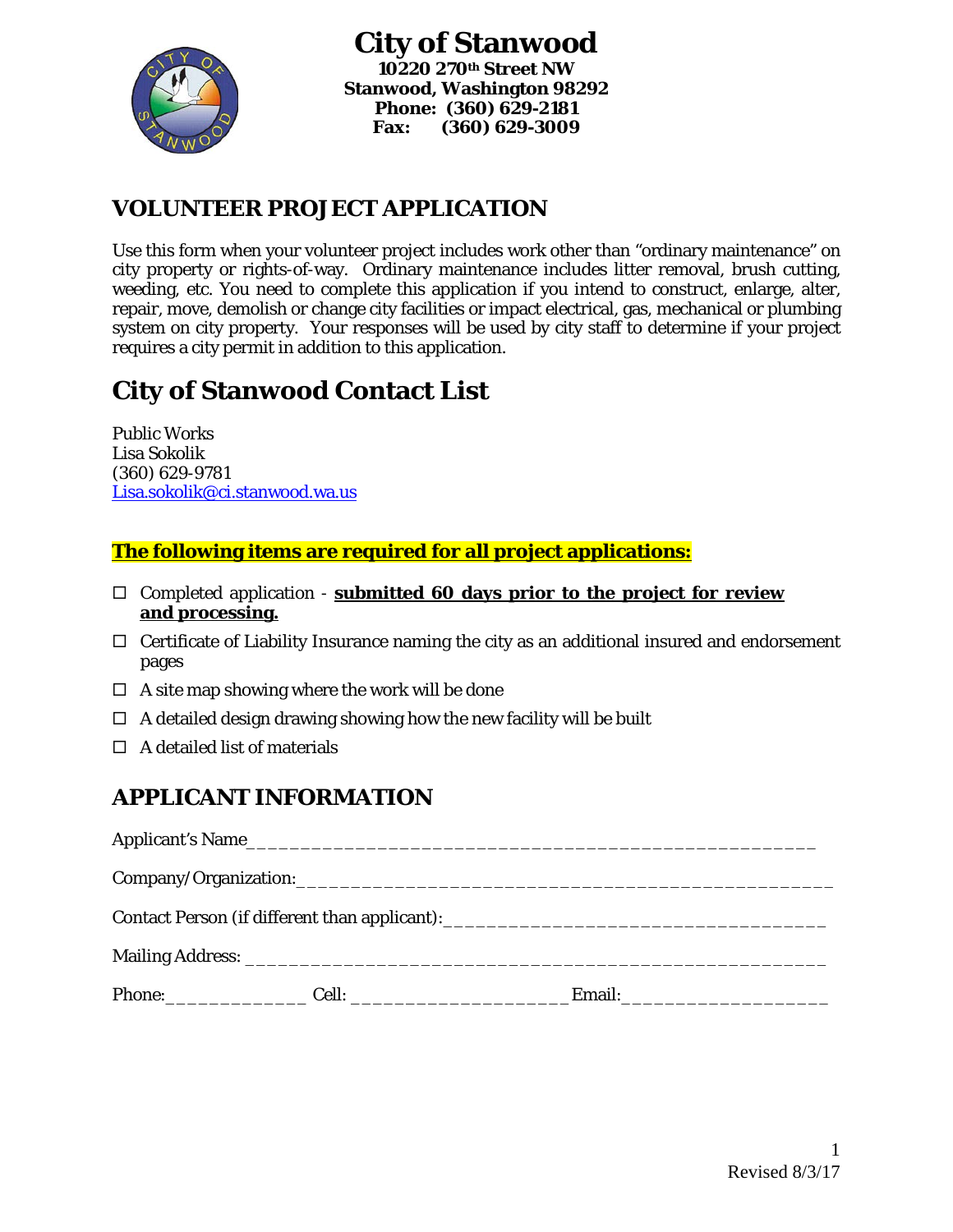

### **VOLUNTEER PROJECT APPLICATION**

Use this form when your volunteer project includes work other than "ordinary maintenance" on city property or rights-of-way. Ordinary maintenance includes litter removal, brush cutting, weeding, etc. You need to complete this application if you intend to construct, enlarge, alter, repair, move, demolish or change city facilities or impact electrical, gas, mechanical or plumbing system on city property. Your responses will be used by city staff to determine if your project requires a city permit in addition to this application.

# **City of Stanwood Contact List**

Public Works Lisa Sokolik (360) 629-9781 [Lisa.sokolik@ci.stanwood.wa.us](mailto:Lisa.sokolik@ci.stanwood.wa.us)

#### **The following items are required for all project applications:**

- Completed application **submitted 60 days prior to the project for review and processing.**
- $\Box$  Certificate of Liability Insurance naming the city as an additional insured and endorsement pages
- $\Box$  A site map showing where the work will be done
- $\Box$  A detailed design drawing showing how the new facility will be built
- $\Box$  A detailed list of materials

## **APPLICANT INFORMATION**

| Phone: Cell: |  |
|--------------|--|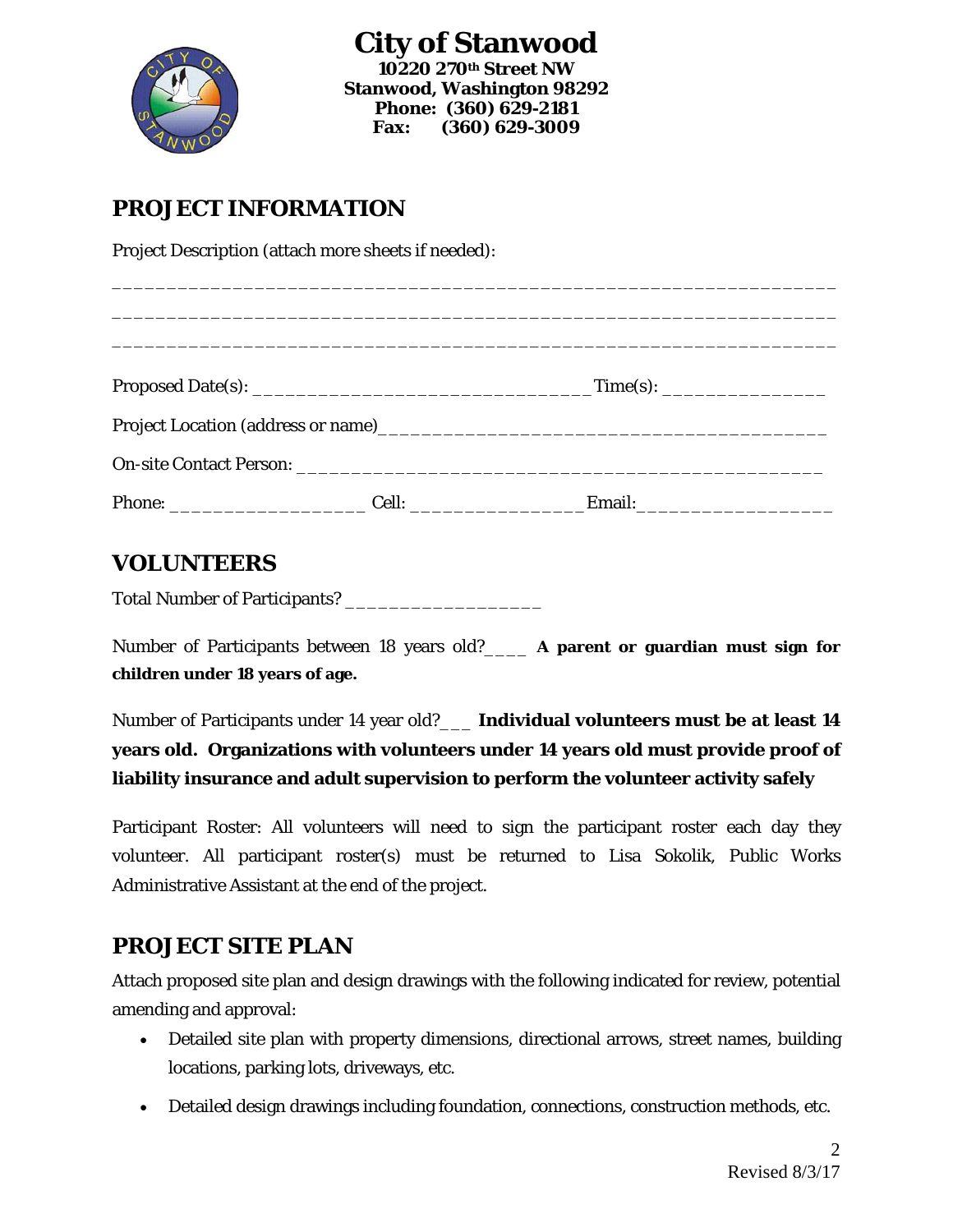

#### **PROJECT INFORMATION**

Project Description (attach more sheets if needed):

#### **VOLUNTEERS**

Total Number of Participants? \_\_\_\_\_\_\_\_\_\_\_\_\_\_\_\_\_\_

Number of Participants between 18 years old?\_\_\_\_ **A parent or guardian must sign for children under 18 years of age.**

Number of Participants under 14 year old?\_\_\_ **Individual volunteers must be at least 14 years old. Organizations with volunteers under 14 years old must provide proof of liability insurance and adult supervision to perform the volunteer activity safely**

Participant Roster: All volunteers will need to sign the participant roster each day they volunteer. All participant roster(s) must be returned to Lisa Sokolik, Public Works Administrative Assistant at the end of the project.

#### **PROJECT SITE PLAN**

Attach proposed site plan and design drawings with the following indicated for review, potential amending and approval:

- Detailed site plan with property dimensions, directional arrows, street names, building locations, parking lots, driveways, etc.
- Detailed design drawings including foundation, connections, construction methods, etc.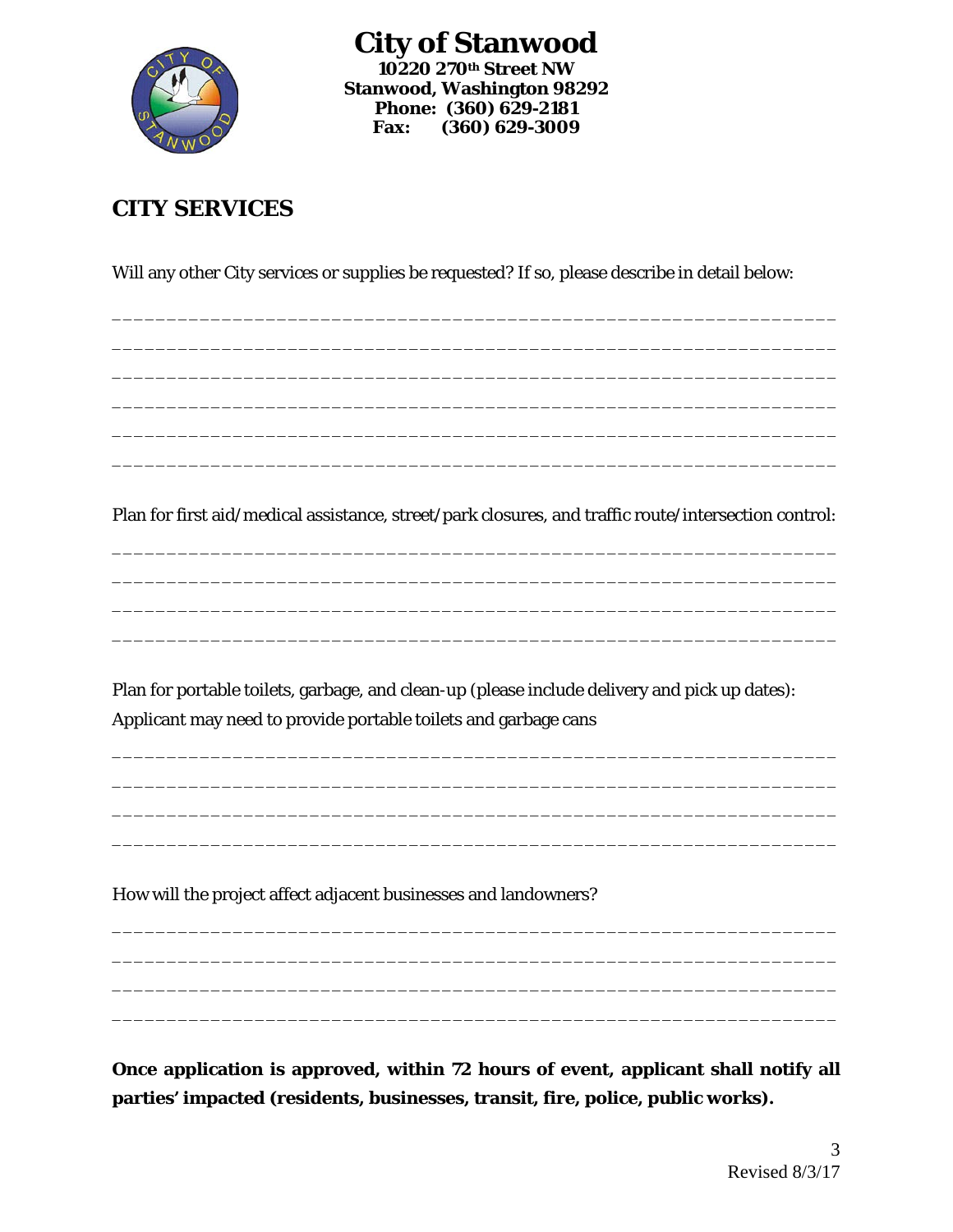

**City of Stanwood 10220 270th Street NW Stanwood, Washington 98292 Phone: (360) 629-2181 Fax: (360) 629-3009**

#### **CITY SERVICES**

Will any other City services or supplies be requested? If so, please describe in detail below:

\_\_\_\_\_\_\_\_\_\_\_\_\_\_\_\_\_\_\_\_\_\_\_\_\_\_\_\_\_\_\_\_\_\_\_\_\_\_\_\_\_\_\_\_\_\_\_\_\_\_\_\_\_\_\_\_\_\_\_\_\_\_\_\_\_\_ \_\_\_\_\_\_\_\_\_\_\_\_\_\_\_\_\_\_\_\_\_\_\_\_\_\_\_\_\_\_\_\_\_\_\_\_\_\_\_\_\_\_\_\_\_\_\_\_\_\_\_\_\_\_\_\_\_\_\_\_\_\_\_\_\_\_ \_\_\_\_\_\_\_\_\_\_\_\_\_\_\_\_\_\_\_\_\_\_\_\_\_\_\_\_\_\_\_\_\_\_\_\_\_\_\_\_\_\_\_\_\_\_\_\_\_\_\_\_\_\_\_\_\_\_\_\_\_\_\_\_\_\_ \_\_\_\_\_\_\_\_\_\_\_\_\_\_\_\_\_\_\_\_\_\_\_\_\_\_\_\_\_\_\_\_\_\_\_\_\_\_\_\_\_\_\_\_\_\_\_\_\_\_\_\_\_\_\_\_\_\_\_\_\_\_\_\_\_\_ \_\_\_\_\_\_\_\_\_\_\_\_\_\_\_\_\_\_\_\_\_\_\_\_\_\_\_\_\_\_\_\_\_\_\_\_\_\_\_\_\_\_\_\_\_\_\_\_\_\_\_\_\_\_\_\_\_\_\_\_\_\_\_\_\_\_ \_\_\_\_\_\_\_\_\_\_\_\_\_\_\_\_\_\_\_\_\_\_\_\_\_\_\_\_\_\_\_\_\_\_\_\_\_\_\_\_\_\_\_\_\_\_\_\_\_\_\_\_\_\_\_\_\_\_\_\_\_\_\_\_\_\_

Plan for first aid/medical assistance, street/park closures, and traffic route/intersection control: \_\_\_\_\_\_\_\_\_\_\_\_\_\_\_\_\_\_\_\_\_\_\_\_\_\_\_\_\_\_\_\_\_\_\_\_\_\_\_\_\_\_\_\_\_\_\_\_\_\_\_\_\_\_\_\_\_\_\_\_\_\_\_\_\_\_

\_\_\_\_\_\_\_\_\_\_\_\_\_\_\_\_\_\_\_\_\_\_\_\_\_\_\_\_\_\_\_\_\_\_\_\_\_\_\_\_\_\_\_\_\_\_\_\_\_\_\_\_\_\_\_\_\_\_\_\_\_\_\_\_\_\_ \_\_\_\_\_\_\_\_\_\_\_\_\_\_\_\_\_\_\_\_\_\_\_\_\_\_\_\_\_\_\_\_\_\_\_\_\_\_\_\_\_\_\_\_\_\_\_\_\_\_\_\_\_\_\_\_\_\_\_\_\_\_\_\_\_\_ \_\_\_\_\_\_\_\_\_\_\_\_\_\_\_\_\_\_\_\_\_\_\_\_\_\_\_\_\_\_\_\_\_\_\_\_\_\_\_\_\_\_\_\_\_\_\_\_\_\_\_\_\_\_\_\_\_\_\_\_\_\_\_\_\_\_

Plan for portable toilets, garbage, and clean-up (please include delivery and pick up dates): Applicant may need to provide portable toilets and garbage cans

\_\_\_\_\_\_\_\_\_\_\_\_\_\_\_\_\_\_\_\_\_\_\_\_\_\_\_\_\_\_\_\_\_\_\_\_\_\_\_\_\_\_\_\_\_\_\_\_\_\_\_\_\_\_\_\_\_\_\_\_\_\_\_\_\_\_ \_\_\_\_\_\_\_\_\_\_\_\_\_\_\_\_\_\_\_\_\_\_\_\_\_\_\_\_\_\_\_\_\_\_\_\_\_\_\_\_\_\_\_\_\_\_\_\_\_\_\_\_\_\_\_\_\_\_\_\_\_\_\_\_\_\_ \_\_\_\_\_\_\_\_\_\_\_\_\_\_\_\_\_\_\_\_\_\_\_\_\_\_\_\_\_\_\_\_\_\_\_\_\_\_\_\_\_\_\_\_\_\_\_\_\_\_\_\_\_\_\_\_\_\_\_\_\_\_\_\_\_\_ \_\_\_\_\_\_\_\_\_\_\_\_\_\_\_\_\_\_\_\_\_\_\_\_\_\_\_\_\_\_\_\_\_\_\_\_\_\_\_\_\_\_\_\_\_\_\_\_\_\_\_\_\_\_\_\_\_\_\_\_\_\_\_\_\_\_

How will the project affect adjacent businesses and landowners?

**Once application is approved, within 72 hours of event, applicant shall notify all parties' impacted (residents, businesses, transit, fire, police, public works).** 

\_\_\_\_\_\_\_\_\_\_\_\_\_\_\_\_\_\_\_\_\_\_\_\_\_\_\_\_\_\_\_\_\_\_\_\_\_\_\_\_\_\_\_\_\_\_\_\_\_\_\_\_\_\_\_\_\_\_\_\_\_\_\_\_\_\_ \_\_\_\_\_\_\_\_\_\_\_\_\_\_\_\_\_\_\_\_\_\_\_\_\_\_\_\_\_\_\_\_\_\_\_\_\_\_\_\_\_\_\_\_\_\_\_\_\_\_\_\_\_\_\_\_\_\_\_\_\_\_\_\_\_\_ \_\_\_\_\_\_\_\_\_\_\_\_\_\_\_\_\_\_\_\_\_\_\_\_\_\_\_\_\_\_\_\_\_\_\_\_\_\_\_\_\_\_\_\_\_\_\_\_\_\_\_\_\_\_\_\_\_\_\_\_\_\_\_\_\_\_ \_\_\_\_\_\_\_\_\_\_\_\_\_\_\_\_\_\_\_\_\_\_\_\_\_\_\_\_\_\_\_\_\_\_\_\_\_\_\_\_\_\_\_\_\_\_\_\_\_\_\_\_\_\_\_\_\_\_\_\_\_\_\_\_\_\_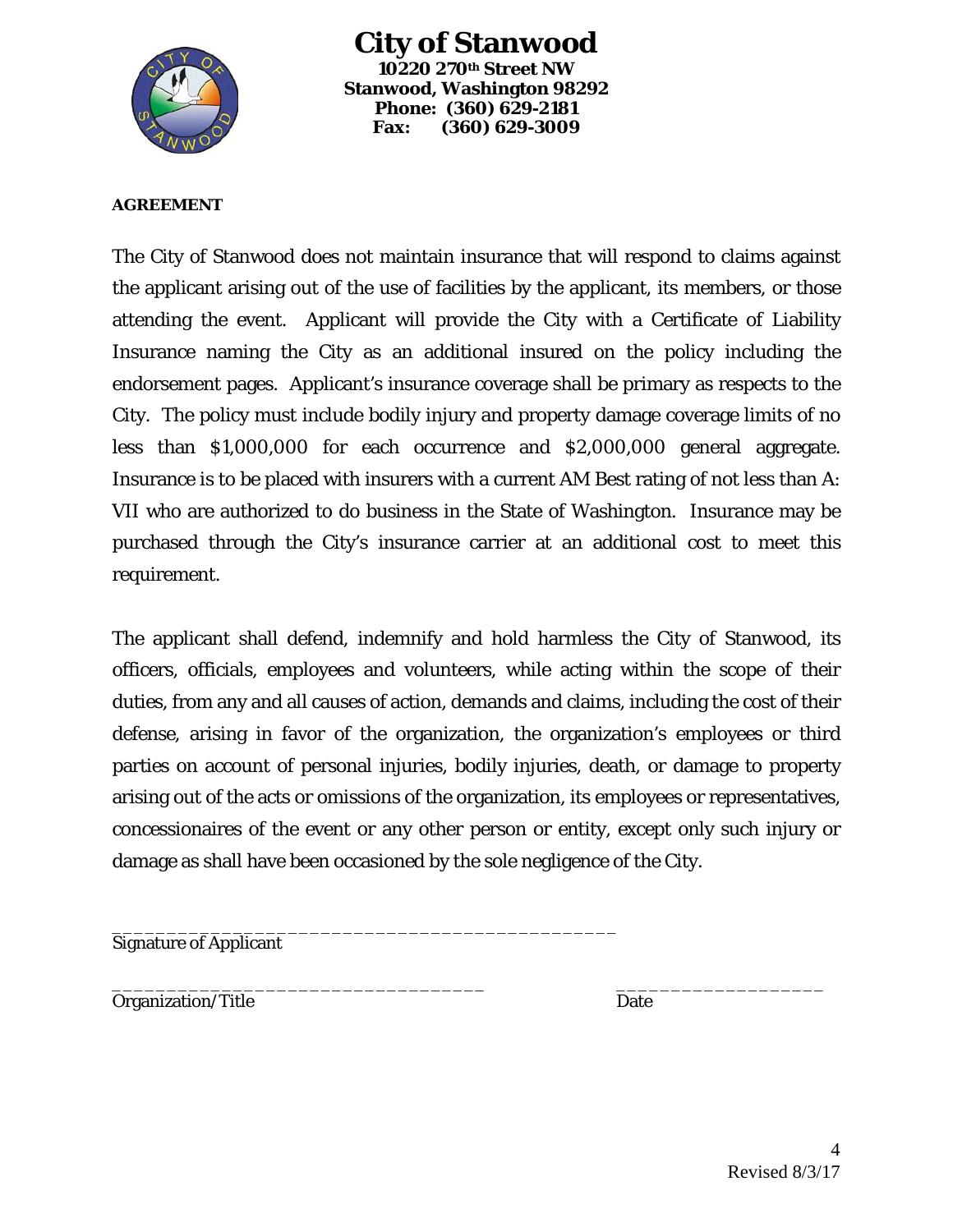

**City of Stanwood 10220 270th Street NW Stanwood, Washington 98292 Phone: (360) 629-2181 Fax: (360) 629-3009**

#### **AGREEMENT**

The City of Stanwood does not maintain insurance that will respond to claims against the applicant arising out of the use of facilities by the applicant, its members, or those attending the event. Applicant will provide the City with a Certificate of Liability Insurance naming the City as an additional insured on the policy including the endorsement pages. Applicant's insurance coverage shall be primary as respects to the City. The policy must include bodily injury and property damage coverage limits of no less than \$1,000,000 for each occurrence and \$2,000,000 general aggregate. Insurance is to be placed with insurers with a current AM Best rating of not less than A: VII who are authorized to do business in the State of Washington. Insurance may be purchased through the City's insurance carrier at an additional cost to meet this requirement.

The applicant shall defend, indemnify and hold harmless the City of Stanwood, its officers, officials, employees and volunteers, while acting within the scope of their duties, from any and all causes of action, demands and claims, including the cost of their defense, arising in favor of the organization, the organization's employees or third parties on account of personal injuries, bodily injuries, death, or damage to property arising out of the acts or omissions of the organization, its employees or representatives, concessionaires of the event or any other person or entity, except only such injury or damage as shall have been occasioned by the sole negligence of the City.

\_\_\_\_\_\_\_\_\_\_\_\_\_\_\_\_\_\_\_\_\_\_\_\_\_\_\_\_\_\_\_\_\_\_\_\_\_\_\_\_\_\_\_\_\_\_ Signature of Applicant

\_\_\_\_\_\_\_\_\_\_\_\_\_\_\_\_\_\_\_\_\_\_\_\_\_\_\_\_\_\_\_\_\_\_ \_\_\_\_\_\_\_\_\_\_\_\_\_\_\_\_\_\_\_ Organization/Title Date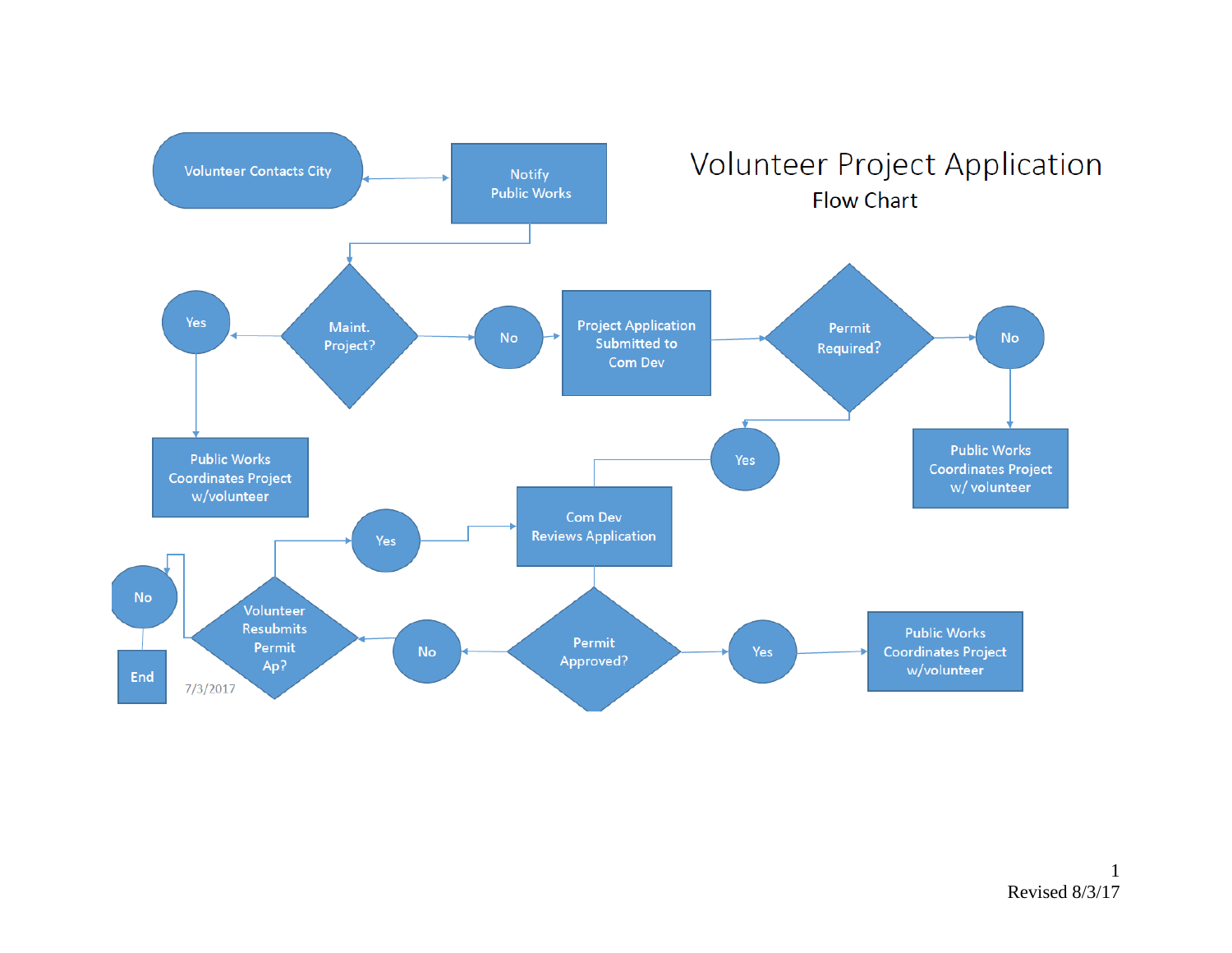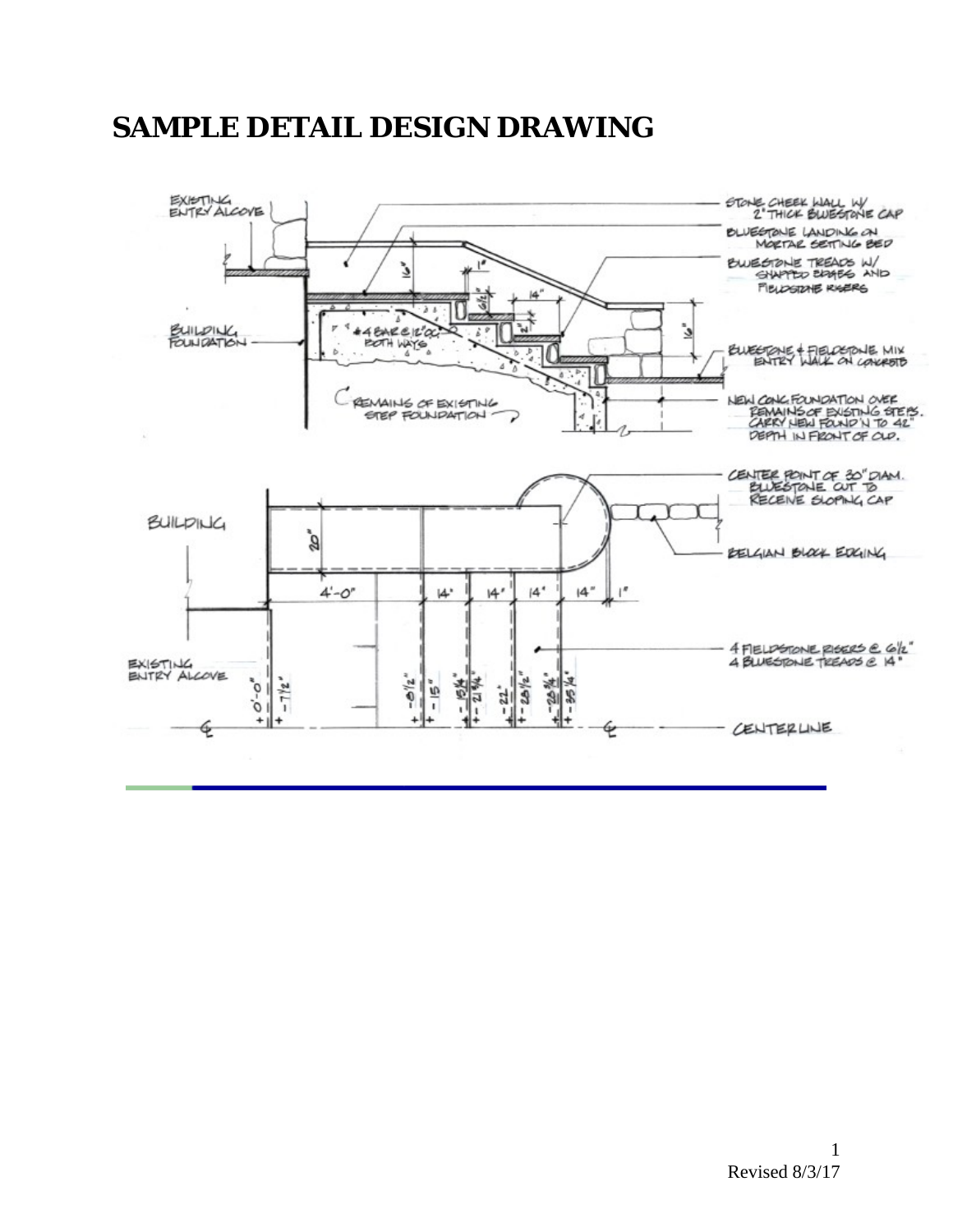# **SAMPLE DETAIL DESIGN DRAWING**